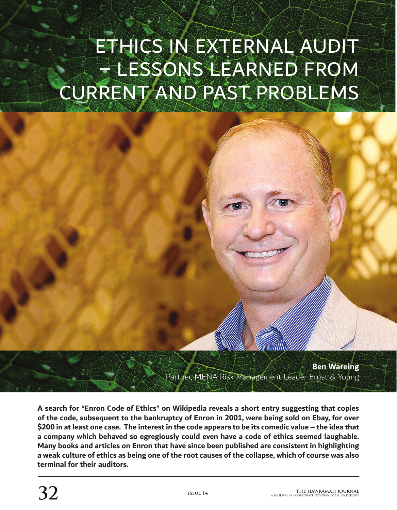# ETHICS IN EXTERNAL AUDIT – LESSONS LEARNED FROM CURRENT AND PAST PROBLEMS

**Ben Wareing** Partner, MENA Risk Management Leader Ernst & Young

**A search for "Enron Code of Ethics" on Wikipedia reveals a short entry suggesting that copies of the code, subsequent to the bankruptcy of Enron in 2001, were being sold on Ebay, for over \$200 in at least one case. The interest in the code appears to be its comedic value – the idea that a company which behaved so egregiously could even have a code of ethics seemed laughable. Many books and articles on Enron that have since been published are consistent in highlighting a weak culture of ethics as being one of the root causes of the collapse, which of course was also terminal for their auditors.**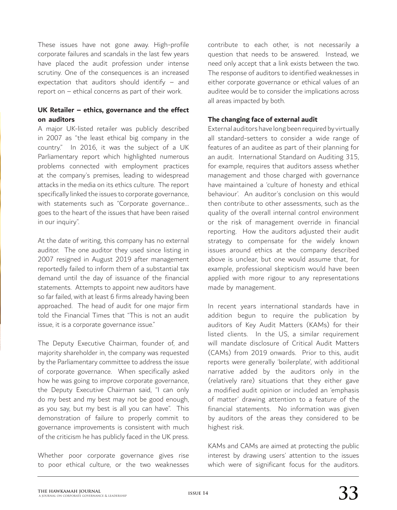These issues have not gone away. High-profile corporate failures and scandals in the last few years have placed the audit profession under intense scrutiny. One of the consequences is an increased expectation that auditors should identify – and report on – ethical concerns as part of their work.

## **UK Retailer – ethics, governance and the effect on auditors**

A major UK-listed retailer was publicly described in 2007 as "the least ethical big company in the country." In 2016, it was the subject of a UK Parliamentary report which highlighted numerous problems connected with employment practices at the company's premises, leading to widespread attacks in the media on its ethics culture. The report specifically linked the issues to corporate governance, with statements such as "Corporate governance… goes to the heart of the issues that have been raised in our inquiry".

At the date of writing, this company has no external auditor. The one auditor they used since listing in 2007 resigned in August 2019 after management reportedly failed to inform them of a substantial tax demand until the day of issuance of the financial statements. Attempts to appoint new auditors have so far failed, with at least 6 firms already having been approached. The head of audit for one major firm told the Financial Times that "This is not an audit issue, it is a corporate governance issue."

The Deputy Executive Chairman, founder of, and majority shareholder in, the company was requested by the Parliamentary committee to address the issue of corporate governance. When specifically asked how he was going to improve corporate governance, the Deputy Executive Chairman said, "I can only do my best and my best may not be good enough, as you say, but my best is all you can have". This demonstration of failure to properly commit to governance improvements is consistent with much of the criticism he has publicly faced in the UK press.

Whether poor corporate governance gives rise to poor ethical culture, or the two weaknesses contribute to each other, is not necessarily a question that needs to be answered. Instead, we need only accept that a link exists between the two. The response of auditors to identified weaknesses in either corporate governance or ethical values of an auditee would be to consider the implications across all areas impacted by both.

### **The changing face of external audit**

External auditors have long been required by virtually all standard-setters to consider a wide range of features of an auditee as part of their planning for an audit. International Standard on Auditing 315, for example, requires that auditors assess whether management and those charged with governance have maintained a 'culture of honesty and ethical behaviour'. An auditor's conclusion on this would then contribute to other assessments, such as the quality of the overall internal control environment or the risk of management override in financial reporting. How the auditors adjusted their audit strategy to compensate for the widely known issues around ethics at the company described above is unclear, but one would assume that, for example, professional skepticism would have been applied with more rigour to any representations made by management.

In recent years international standards have in addition begun to require the publication by auditors of Key Audit Matters (KAMs) for their listed clients. In the US, a similar requirement will mandate disclosure of Critical Audit Matters (CAMs) from 2019 onwards. Prior to this, audit reports were generally 'boilerplate', with additional narrative added by the auditors only in the (relatively rare) situations that they either gave a modified audit opinion or included an 'emphasis of matter' drawing attention to a feature of the financial statements. No information was given by auditors of the areas they considered to be highest risk.

KAMs and CAMs are aimed at protecting the public interest by drawing users' attention to the issues which were of significant focus for the auditors.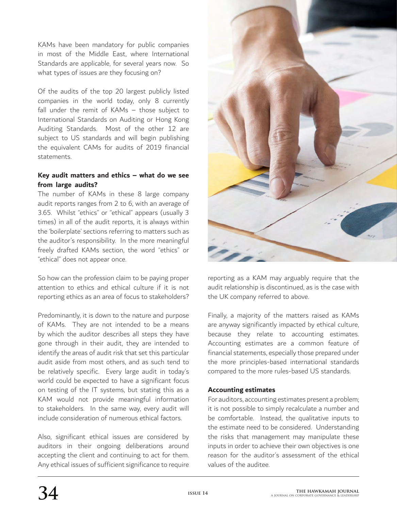KAMs have been mandatory for public companies in most of the Middle East, where International Standards are applicable, for several years now. So what types of issues are they focusing on?

Of the audits of the top 20 largest publicly listed companies in the world today, only 8 currently fall under the remit of KAMs – those subject to International Standards on Auditing or Hong Kong Auditing Standards. Most of the other 12 are subject to US standards and will begin publishing the equivalent CAMs for audits of 2019 financial statements.

# **Key audit matters and ethics – what do we see from large audits?**

The number of KAMs in these 8 large company audit reports ranges from 2 to 6, with an average of 3.65. Whilst "ethics" or "ethical" appears (usually 3 times) in all of the audit reports, it is always within the 'boilerplate' sections referring to matters such as the auditor's responsibility. In the more meaningful freely drafted KAMs section, the word "ethics" or "ethical" does not appear once.

So how can the profession claim to be paying proper attention to ethics and ethical culture if it is not reporting ethics as an area of focus to stakeholders?

Predominantly, it is down to the nature and purpose of KAMs. They are not intended to be a means by which the auditor describes all steps they have gone through in their audit, they are intended to identify the areas of audit risk that set this particular audit aside from most others, and as such tend to be relatively specific. Every large audit in today's world could be expected to have a significant focus on testing of the IT systems, but stating this as a KAM would not provide meaningful information to stakeholders. In the same way, every audit will include consideration of numerous ethical factors.

Also, significant ethical issues are considered by auditors in their ongoing deliberations around accepting the client and continuing to act for them. Any ethical issues of sufficient significance to require



reporting as a KAM may arguably require that the audit relationship is discontinued, as is the case with the UK company referred to above.

Finally, a majority of the matters raised as KAMs are anyway significantly impacted by ethical culture, because they relate to accounting estimates. Accounting estimates are a common feature of financial statements, especially those prepared under the more principles-based international standards compared to the more rules-based US standards.

### **Accounting estimates**

For auditors, accounting estimates present a problem; it is not possible to simply recalculate a number and be comfortable. Instead, the qualitative inputs to the estimate need to be considered. Understanding the risks that management may manipulate these inputs in order to achieve their own objectives is one reason for the auditor's assessment of the ethical values of the auditee.